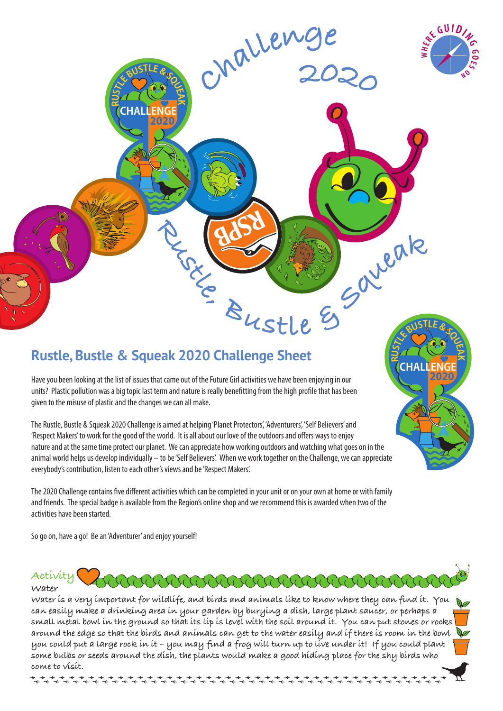

**R**

**USTL<sup>E</sup> <sup>B</sup>USTL<sup>E</sup> & <sup>S</sup>QUE<sup>A</sup>**

**CHALLENGE**

**2020**

**K**

# **Rustle, Bustle & Squeak 2020 Challenge Sheet**

Have you been looking at the list of issues that came out of the Future Girl activities we have been enjoying in our units? Plastic pollution was a big topic last term and nature is really benefitting from the high profile that has been given to the misuse of plastic and the changes we can all make.

The Rustle, Bustle & Squeak 2020 Challenge is aimed at helping 'Planet Protectors', 'Adventurers', 'Self Believers' and 'Respect Makers' to work for the good of the world. It is all about our love of the outdoors and offers ways to enjoy nature and at the same time protect our planet. We can appreciate how working outdoors and watching what goes on in the animal world helps us develop individually – to be 'Self Believers'. When we work together on the Challenge, we can appreciate everybody's contribution, listen to each other's views and be 'Respect Makers'.

The 2020 Challenge contains five different activities which can be completed in your unit or on your own at home or with family and friends. The special badge is available from the Region's online shop and we recommend this is awarded when two of the activities have been started.

So go on, have a go! Be an 'Adventurer' and enjoy yourself!

**R**

**USTL<sup>E</sup> <sup>B</sup>USTL<sup>E</sup> & <sup>S</sup>QUE<sup>A</sup>**

**CHALLENGE**

**2020**

**K**

#### **Activity Water**

**Water is a very important for wildlife, and birds and animals like to know where they can find it. You can easily make a drinking area in your garden by burying a dish, large plant saucer, or perhaps a small metal bowl in the ground so that its lip is level with the soil around it. You can put stones or rocks around the edge so that the birds and animals can get to the water easily and if there is room in the bowl you could put a large rock in it – you may find a frog will turn up to live under it! If you could plant some bulbs or seeds around the dish, the plants would make a good hiding place for the shy birds who come to visit.** 

ARANDER ARANDER ARANDER A

**<sup>R</sup>ustle, <sup>B</sup><sup>u</sup>stl<sup>e</sup> & <sup>S</sup>quea<sup>k</sup>**

**<sup>C</sup><sup>h</sup> <sup>2</sup>020**

**alleng<sup>e</sup>**